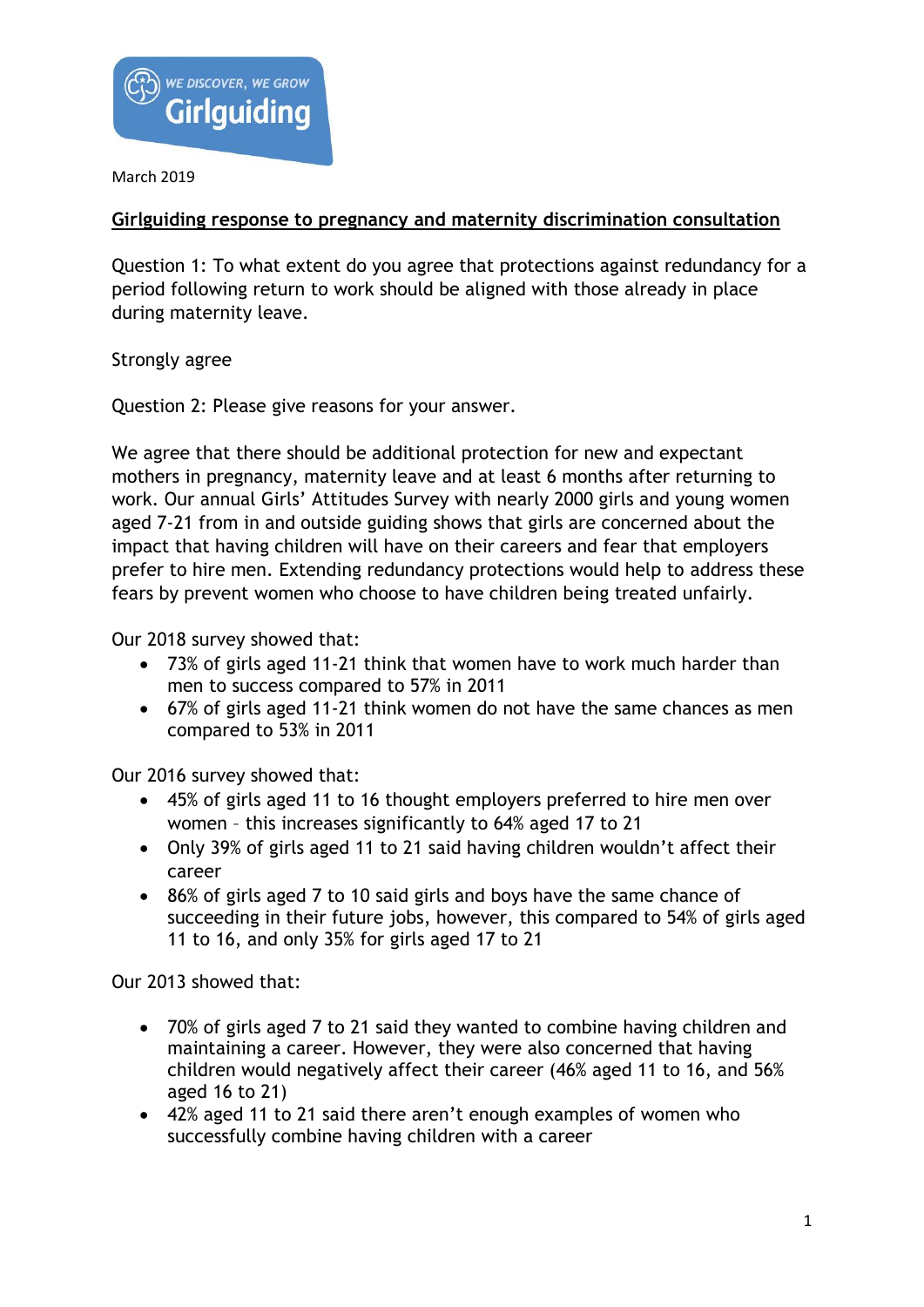

March 2019

## **Girlguiding response to pregnancy and maternity discrimination consultation**

Question 1: To what extent do you agree that protections against redundancy for a period following return to work should be aligned with those already in place during maternity leave.

Strongly agree

Question 2: Please give reasons for your answer.

We agree that there should be additional protection for new and expectant mothers in pregnancy, maternity leave and at least 6 months after returning to work. Our annual Girls' Attitudes Survey with nearly 2000 girls and young women aged 7-21 from in and outside guiding shows that girls are concerned about the impact that having children will have on their careers and fear that employers prefer to hire men. Extending redundancy protections would help to address these fears by prevent women who choose to have children being treated unfairly.

Our 2018 survey showed that:

- 73% of girls aged 11-21 think that women have to work much harder than men to success compared to 57% in 2011
- 67% of girls aged 11-21 think women do not have the same chances as men compared to 53% in 2011

Our 2016 survey showed that:

- 45% of girls aged 11 to 16 thought employers preferred to hire men over women – this increases significantly to 64% aged 17 to 21
- Only 39% of girls aged 11 to 21 said having children wouldn't affect their career
- 86% of girls aged 7 to 10 said girls and boys have the same chance of succeeding in their future jobs, however, this compared to 54% of girls aged 11 to 16, and only 35% for girls aged 17 to 21

Our 2013 showed that:

- 70% of girls aged 7 to 21 said they wanted to combine having children and maintaining a career. However, they were also concerned that having children would negatively affect their career (46% aged 11 to 16, and 56% aged 16 to 21)
- 42% aged 11 to 21 said there aren't enough examples of women who successfully combine having children with a career